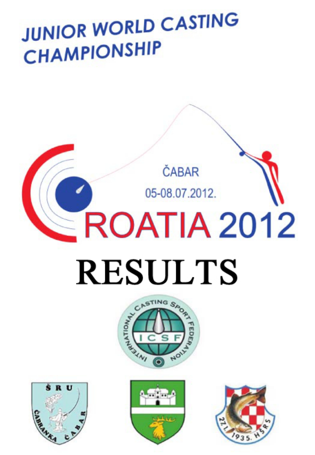# **JUNIOR WORLD CASTING CHAMPIONSHIP**

# $\leq$ ROATIA 2012 **RESULTS**

ČABAR

05-08.07.2012.







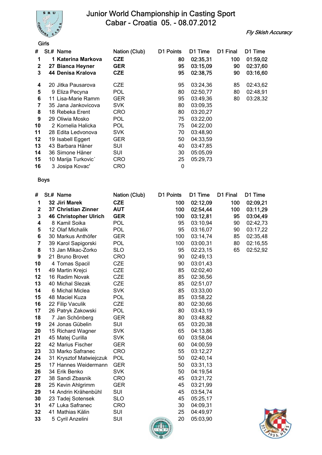

Fly Skish Accuracy

|              | Girls     |                     |               |           |          |          |          |
|--------------|-----------|---------------------|---------------|-----------|----------|----------|----------|
| #            | St.# Name |                     | Nation (Club) | D1 Points | D1 Time  | D1 Final | D1 Time  |
| 1            |           | 1 Katerina Markova  | <b>CZE</b>    | 80        | 02:35,31 | 100      | 01:59,02 |
| $\mathbf{2}$ |           | 27 Bianca Heyner    | <b>GER</b>    | 95        | 03:15,09 | 90       | 02:37,60 |
| 3            |           | 44 Denisa Kralova   | <b>CZE</b>    | 95        | 02:38,75 | 90       | 03:16,60 |
| 4            |           | 20 Jitka Pausarova  | <b>CZE</b>    | 95        | 03:24,36 | 85       | 02:43,62 |
| 5            |           | 9 Eliza Pecyna      | <b>POL</b>    | 80        | 02:50,77 | 80       | 02:48,91 |
| 6            |           | 11 Lisa-Marie Ramm  | GER           | 95        | 03:49,36 | 80       | 03:28,32 |
| 7            |           | 35 Jana Jankovicova | <b>SVK</b>    | 80        | 03:09,35 |          |          |
| 8            |           | 18 Rebeka Erent     | CRO           | 80        | 03:20,27 |          |          |
| 9            |           | 29 Oliwia Mosko     | <b>POL</b>    | 75        | 03:22,00 |          |          |
| 10           |           | 2 Kornelia Halicka  | <b>POL</b>    | 75        | 04:22,00 |          |          |
| 11           |           | 28 Edita Ledvonova  | <b>SVK</b>    | 70        | 03:48,90 |          |          |
| 12           |           | 19 Isabell Eggert   | GER           | 50        | 04:33,59 |          |          |
| 13           |           | 43 Barbara Häner    | SUI           | 40        | 03:47,85 |          |          |
| 14           |           | 36 Simone Häner     | SUI           | 30        | 05:05,09 |          |          |
| 15           |           | 10 Marija Turkovic' | CRO           | 25        | 05:29,73 |          |          |
| 16           |           | 3 Josipa Kovac'     | CRO           | 0         |          |          |          |

| #                       | St.# Name                    | Nation (Club) | D1 Points          | D1 Time  | D1 Final | D1 Time  |
|-------------------------|------------------------------|---------------|--------------------|----------|----------|----------|
| 1                       | 32 Jiri Marek                | <b>CZE</b>    | 100                | 02:12,09 | 100      | 02:09,21 |
| $\mathbf 2$             | 37 Christian Zinner          | <b>AUT</b>    | 100                | 02:54,44 | 100      | 03:11,29 |
| 3                       | <b>46 Christopher Ulrich</b> | <b>GER</b>    | 100                | 03:12,81 | 95       | 03:04,49 |
| 4                       | 8 Kamil Soika                | <b>POL</b>    | 95                 | 03:10,94 | 90       | 02:42,73 |
| 5                       | 12 Olaf Michalik             | <b>POL</b>    | 95                 | 03:16,07 | 90       | 03:17,22 |
| 6                       | 30 Markus Anthöfer           | <b>GER</b>    | 100                | 03:14,74 | 85       | 02:35,48 |
| $\overline{\mathbf{r}}$ | 39 Karol Sapigorski          | <b>POL</b>    | 100                | 03:00,31 | 80       | 02:16,55 |
| 8                       | 13 Jan Mikac-Zorko           | <b>SLO</b>    | 95                 | 02:23,15 | 65       | 02:52,92 |
| 9                       | 21 Bruno Brovet              | <b>CRO</b>    | 90                 | 02:49,13 |          |          |
| 10                      | 4 Tomas Spacil               | <b>CZE</b>    | 90                 | 03:01,43 |          |          |
| 11                      | 49 Martin Krejci             | <b>CZE</b>    | 85                 | 02:02,40 |          |          |
| 12                      | 16 Radim Novak               | <b>CZE</b>    | 85                 | 02:36,56 |          |          |
| 13                      | 40 Michal Slezak             | <b>CZE</b>    | 85                 | 02:51,07 |          |          |
| 14                      | 6 Michal Miclea              | <b>SVK</b>    | 85                 | 03:33,00 |          |          |
| 15                      | 48 Maciel Kuza               | <b>POL</b>    | 85                 | 03:58,22 |          |          |
| 16                      | 22 Filip Vaculik             | <b>CZE</b>    | 80                 | 02:30,66 |          |          |
| 17                      | 26 Patryk Zakowski           | POL           | 80                 | 03:43,19 |          |          |
| 18                      | 7 Jan Schönberg              | <b>GER</b>    | 80                 | 03:48,82 |          |          |
| 19                      | 24 Jonas Gübelin             | SUI           | 65                 | 03:20,38 |          |          |
| 20                      | 15 Richard Wagner            | <b>SVK</b>    | 65                 | 04:13,86 |          |          |
| 21                      | 45 Matej Curilla             | <b>SVK</b>    | 60                 | 03:58,04 |          |          |
| 22                      | 42 Marius Fischer            | <b>GER</b>    | 60                 | 04:00,59 |          |          |
| 23                      | 33 Marko Safranec            | <b>CRO</b>    | 55                 | 03:12,27 |          |          |
| 24                      | 31 Krysztof Matwiejczuk      | <b>POL</b>    | 50                 | 02:40,14 |          |          |
| 25                      | 17 Hannes Weidermann         | <b>GER</b>    | 50                 | 03:31,13 |          |          |
| 26                      | 34 Erik Benko                | <b>SVK</b>    | 50                 | 04:19,54 |          |          |
| 27                      | 38 Sandi Zbasnik             | <b>CRO</b>    | 45                 | 03:21,72 |          |          |
| 28                      | 25 Kevin Ahlgrimm            | <b>GER</b>    | 45                 | 03:21,99 |          |          |
| 29                      | 14 Andrin Krähenbühl         | SUI           | 45                 | 03:54,74 |          |          |
| 30                      | 23 Tadej Sotensek            | <b>SLO</b>    | 45                 | 05:25,17 |          |          |
| 31                      | 47 Luka Safranec             | <b>CRO</b>    | 30                 | 04:09,31 |          |          |
| 32                      | 41 Mathias Kälin             | SUI           | 25                 | 04:49,97 |          |          |
| 33                      | 5 Cyril Anzelini             | SUI           | 20<br>CASTING SAOR | 05:03,90 |          |          |



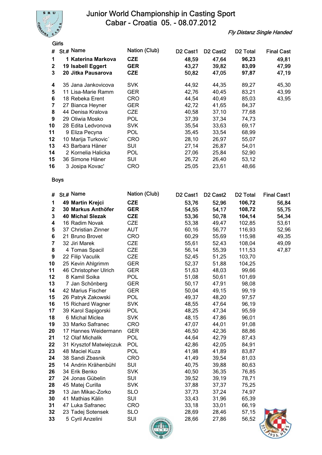

Fly Distanz Single Handed

|              | Girls               |               |                                  |                                  |                      |                   |
|--------------|---------------------|---------------|----------------------------------|----------------------------------|----------------------|-------------------|
| #            | $St.#$ Name         | Nation (Club) | D <sub>2</sub> Cast <sub>1</sub> | D <sub>2</sub> Cast <sub>2</sub> | D <sub>2</sub> Total | <b>Final Cast</b> |
| 1            | 1 Katerina Markova  | CZE           | 48,59                            | 47,64                            | 96,23                | 49,81             |
| $\mathbf{2}$ | 19 Isabell Eggert   | <b>GER</b>    | 43,27                            | 39,82                            | 83,09                | 47,99             |
| 3            | 20 Jitka Pausarova  | <b>CZE</b>    | 50,82                            | 47,05                            | 97,87                | 47,19             |
| 4            | 35 Jana Jankovicova | SVK.          | 44,92                            | 44,35                            | 89,27                | 45,30             |
| 5            | 11 Lisa-Marie Ramm  | GER           | 42,76                            | 40,45                            | 83,21                | 43,99             |
| 6            | 18 Rebeka Erent     | CRO           | 44,54                            | 40,49                            | 85,03                | 43,95             |
| 7            | 27 Bianca Heyner    | GER           | 42,72                            | 41,65                            | 84,37                |                   |
| 8            | 44 Denisa Kralova   | <b>CZE</b>    | 40,58                            | 37,10                            | 77,68                |                   |
| 9            | 29 Oliwia Mosko     | <b>POL</b>    | 37,39                            | 37,34                            | 74,73                |                   |
| 10           | 28 Edita Ledvonova  | SVK.          | 35,54                            | 33,63                            | 69,17                |                   |
| 11           | 9 Eliza Pecyna      | <b>POL</b>    | 35,45                            | 33,54                            | 68,99                |                   |
| $12 \,$      | 10 Marija Turkovic' | <b>CRO</b>    | 28,10                            | 26,97                            | 55,07                |                   |
| 13           | 43 Barbara Häner    | SUI           | 27,14                            | 26,87                            | 54,01                |                   |
| 14           | 2 Kornelia Halicka  | POL           | 27,06                            | 25,84                            | 52,90                |                   |
| 15           | 36 Simone Häner     | SUI           | 26,72                            | 26,40                            | 53,12                |                   |
| 16           | 3 Josipa Kovac'     | <b>CRO</b>    | 25,05                            | 23,61                            | 48,66                |                   |

| #                       | St.# Name               | Nation (Club) | D <sub>2</sub> Cast <sub>1</sub> | D <sub>2</sub> Cast <sub>2</sub> | D <sub>2</sub> Total | <b>Final Cast1</b> |
|-------------------------|-------------------------|---------------|----------------------------------|----------------------------------|----------------------|--------------------|
| 1                       | 49 Martin Krejci        | <b>CZE</b>    | 53,76                            | 52,96                            | 106,72               | 56,84              |
| 2                       | 30 Markus Anthöfer      | <b>GER</b>    | 54,55                            | 54,17                            | 108,72               | 55,75              |
| 3                       | <b>40 Michal Slezak</b> | <b>CZE</b>    | 53,36                            | 50,78                            | 104,14               | 54,34              |
| 4                       | 16 Radim Novak          | <b>CZE</b>    | 53,38                            | 49,47                            | 102,85               | 53,61              |
| 5                       | 37 Christian Zinner     | <b>AUT</b>    | 60,16                            | 56,77                            | 116,93               | 52,96              |
| 6                       | 21 Bruno Brovet         | <b>CRO</b>    | 60,29                            | 55,69                            | 115,98               | 49,35              |
| $\overline{\mathbf{r}}$ | 32 Jiri Marek           | <b>CZE</b>    | 55,61                            | 52,43                            | 108,04               | 49,09              |
| 8                       | 4 Tomas Spacil          | <b>CZE</b>    | 56,14                            | 55,39                            | 111,53               | 47,87              |
| 9                       | 22 Filip Vaculik        | <b>CZE</b>    | 52,45                            | 51,25                            | 103,70               |                    |
| 10                      | 25 Kevin Ahlgrimm       | <b>GER</b>    | 52,37                            | 51,88                            | 104,25               |                    |
| 11                      | 46 Christopher Ulrich   | <b>GER</b>    | 51,63                            | 48,03                            | 99,66                |                    |
| 12                      | 8 Kamil Soika           | <b>POL</b>    | 51,08                            | 50,61                            | 101,69               |                    |
| 13                      | 7 Jan Schönberg         | <b>GER</b>    | 50,17                            | 47,91                            | 98,08                |                    |
| 14                      | 42 Marius Fischer       | <b>GER</b>    | 50,04                            | 49,15                            | 99,19                |                    |
| 15                      | 26 Patryk Zakowski      | <b>POL</b>    | 49,37                            | 48,20                            | 97,57                |                    |
| 16                      | 15 Richard Wagner       | <b>SVK</b>    | 48,55                            | 47,64                            | 96,19                |                    |
| 17                      | 39 Karol Sapigorski     | <b>POL</b>    | 48,25                            | 47,34                            | 95,59                |                    |
| 18                      | 6 Michal Miclea         | <b>SVK</b>    | 48,15                            | 47,86                            | 96,01                |                    |
| 19                      | 33 Marko Safranec       | <b>CRO</b>    | 47,07                            | 44,01                            | 91,08                |                    |
| 20                      | 17 Hannes Weidermann    | <b>GER</b>    | 46,50                            | 42,36                            | 88,86                |                    |
| 21                      | 12 Olaf Michalik        | <b>POL</b>    | 44,64                            | 42,79                            | 87,43                |                    |
| 22                      | 31 Krysztof Matwiejczuk | <b>POL</b>    | 42,86                            | 42,05                            | 84,91                |                    |
| 23                      | 48 Maciel Kuza          | <b>POL</b>    | 41,98                            | 41,89                            | 83,87                |                    |
| 24                      | 38 Sandi Zbasnik        | <b>CRO</b>    | 41,49                            | 39,54                            | 81,03                |                    |
| 25                      | 14 Andrin Krähenbühl    | SUI           | 40,75                            | 39,88                            | 80,63                |                    |
| 26                      | 34 Erik Benko           | <b>SVK</b>    | 40,50                            | 36,35                            | 76,85                |                    |
| 27                      | 24 Jonas Gübelin        | SUI           | 39,52                            | 39,19                            | 78,71                |                    |
| 28                      | 45 Matej Curilla        | <b>SVK</b>    | 37,88                            | 37,37                            | 75,25                |                    |
| 29                      | 13 Jan Mikac-Zorko      | <b>SLO</b>    | 37,73                            | 37,24                            | 74,97                |                    |
| 30                      | 41 Mathias Kälin        | <b>SUI</b>    | 33,43                            | 31,96                            | 65,39                |                    |
| 31                      | 47 Luka Safranec        | <b>CRO</b>    | 33,18                            | 33,01                            | 66,19                |                    |
| 32                      | 23 Tadej Sotensek       | <b>SLO</b>    | 28,69                            | 28,46                            | 57,15                |                    |
| 33                      | 5 Cyril Anzelini        | SUI           | 28,66<br>CASTING SAOR            | 27,86                            | 56,52                |                    |



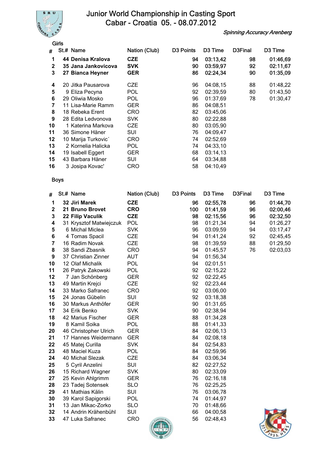

Spinning Accuracy Arenberg

|              | Girls               |               |                       |                     |         |          |
|--------------|---------------------|---------------|-----------------------|---------------------|---------|----------|
| #            | St.# Name           | Nation (Club) | D <sub>3</sub> Points | D <sub>3</sub> Time | D3Final | D3 Time  |
| 1            | 44 Denisa Kralova   | <b>CZE</b>    | 94                    | 03:13,42            | 98      | 01:46,69 |
| $\mathbf{2}$ | 35 Jana Jankovicova | <b>SVK</b>    | 90                    | 03:59,97            | 92      | 02:11,67 |
| 3            | 27 Bianca Heyner    | GER           | 86                    | 02:24,34            | 90      | 01:35,09 |
| 4            | 20 Jitka Pausarova  | <b>CZE</b>    | 96                    | 04:08,15            | 88      | 01:48,22 |
| 5            | 9 Eliza Pecyna      | POL           | 92                    | 02:39,59            | 80      | 01:43,50 |
| 6            | 29 Oliwia Mosko     | <b>POL</b>    | 96                    | 01:37,69            | 78      | 01:30,47 |
| 7            | 11 Lisa-Marie Ramm  | GER           | 86                    | 04:08,51            |         |          |
| 8            | 18 Rebeka Erent     | <b>CRO</b>    | 82                    | 03:45,06            |         |          |
| 9            | 28 Edita Ledvonova  | <b>SVK</b>    | 80                    | 02:22,88            |         |          |
| 10           | 1 Katerina Markova  | <b>CZE</b>    | 80                    | 03:05,90            |         |          |
| 11           | 36 Simone Häner     | SUI           | 76                    | 04:09,47            |         |          |
| 12           | 10 Marija Turkovic' | <b>CRO</b>    | 74                    | 02:52,69            |         |          |
| 13           | 2 Kornelia Halicka  | <b>POL</b>    | 74                    | 04:33,10            |         |          |
| 14           | 19 Isabell Eggert   | GER           | 68                    | 03:14,13            |         |          |
| 15           | 43 Barbara Häner    | SUI           | 64                    | 03:34,88            |         |          |
| 16           | 3 Josipa Kovac'     | CRO           | 58                    | 04:10,49            |         |          |

| #           | St.# Name               | Nation (Club)                    | D <sub>3</sub> Points | D3 Time  | D3Final | D3 Time  |
|-------------|-------------------------|----------------------------------|-----------------------|----------|---------|----------|
| 1           | 32 Jiri Marek           | <b>CZE</b>                       | 96                    | 02:55,78 | 96      | 01:44,70 |
| $\mathbf 2$ | 21 Bruno Brovet         | <b>CRO</b>                       | 100                   | 01:41,59 | 96      | 02:00,46 |
| 3           | 22 Filip Vaculik        | <b>CZE</b>                       | 98                    | 02:15,56 | 96      | 02:32,50 |
| 4           | 31 Krysztof Matwiejczuk | <b>POL</b>                       | 98                    | 01:21,34 | 94      | 01:26,27 |
| 5           | 6 Michal Miclea         | <b>SVK</b>                       | 96                    | 03:09,59 | 94      | 03:17,47 |
| 6           | 4 Tomas Spacil          | <b>CZE</b>                       | 94                    | 01:41,24 | 92      | 02:45,45 |
| 7           | 16 Radim Novak          | <b>CZE</b>                       | 98                    | 01:39,59 | 88      | 01:29,50 |
| 8           | 38 Sandi Zbasnik        | <b>CRO</b>                       | 94                    | 01:45,57 | 76      | 02:03,03 |
| 9           | 37 Christian Zinner     | <b>AUT</b>                       | 94                    | 01:56,34 |         |          |
| 10          | 12 Olaf Michalik        | <b>POL</b>                       | 94                    | 02:01,51 |         |          |
| 11          | 26 Patryk Zakowski      | <b>POL</b>                       | 92                    | 02:15,22 |         |          |
| 12          | 7 Jan Schönberg         | <b>GER</b>                       | 92                    | 02:22,45 |         |          |
| 13          | 49 Martin Krejci        | <b>CZE</b>                       | 92                    | 02:23,44 |         |          |
| 14          | 33 Marko Safranec       | <b>CRO</b>                       | 92                    | 03:06,00 |         |          |
| 15          | 24 Jonas Gübelin        | SUI                              | 92                    | 03:18,38 |         |          |
| 16          | 30 Markus Anthöfer      | <b>GER</b>                       | 90                    | 01:31,65 |         |          |
| 17          | 34 Erik Benko           | <b>SVK</b>                       | 90                    | 02:38,94 |         |          |
| 18          | 42 Marius Fischer       | <b>GER</b>                       | 88                    | 01:34,28 |         |          |
| 19          | 8 Kamil Soika           | <b>POL</b>                       | 88                    | 01:41,33 |         |          |
| 20          | 46 Christopher Ulrich   | <b>GER</b>                       | 84                    | 02:06,13 |         |          |
| 21          | 17 Hannes Weidermann    | <b>GER</b>                       | 84                    | 02:08,18 |         |          |
| 22          | 45 Matej Curilla        | <b>SVK</b>                       | 84                    | 02:54,83 |         |          |
| 23          | 48 Maciel Kuza          | <b>POL</b>                       | 84                    | 02:59,96 |         |          |
| 24          | 40 Michal Slezak        | <b>CZE</b>                       | 84                    | 03:06,34 |         |          |
| 25          | 5 Cyril Anzelini        | <b>SUI</b>                       | 82                    | 02:27,52 |         |          |
| 26          | 15 Richard Wagner       | <b>SVK</b>                       | 80                    | 02:33,09 |         |          |
| 27          | 25 Kevin Ahlgrimm       | <b>GER</b>                       | 76                    | 02:16,18 |         |          |
| 28          | 23 Tadej Sotensek       | <b>SLO</b>                       | 76                    | 02:25,25 |         |          |
| 29          | 41 Mathias Kälin        | SUI                              | 76                    | 03:06,78 |         |          |
| 30          | 39 Karol Sapigorski     | <b>POL</b>                       | 74                    | 01:44,97 |         |          |
| 31          | 13 Jan Mikac-Zorko      | <b>SLO</b>                       | 70                    | 01:48,66 |         |          |
| 32          | 14 Andrin Krähenbühl    | SUI                              | 66                    | 04:00,58 |         |          |
| 33          | 47 Luka Safranec        | <b>CRO</b><br>CASTING SAOR<br>ZN | 56                    | 02:48,43 |         |          |

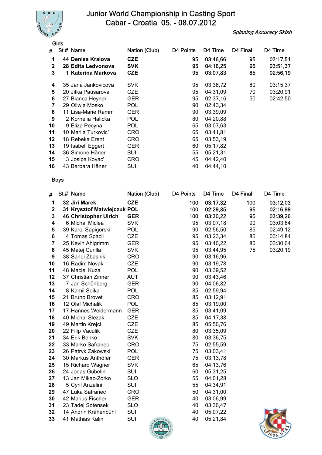

Spinning Accuracy Skish

|              | Girls               |               |           |          |          |          |
|--------------|---------------------|---------------|-----------|----------|----------|----------|
| #            | St.# Name           | Nation (Club) | D4 Points | D4 Time  | D4 Final | D4 Time  |
| 1            | 44 Denisa Kralova   | <b>CZE</b>    | 95        | 03:46,66 | 95       | 03:17,51 |
| $\mathbf{2}$ | 28 Edita Ledvonova  | <b>SVK</b>    | 95        | 04:16,25 | 95       | 03:51,37 |
| 3            | 1 Katerina Markova  | <b>CZE</b>    | 95        | 03:07,83 | 85       | 02:56,19 |
| 4            | 35 Jana Jankovicova | <b>SVK</b>    | 95        | 03:38,72 | 80       | 03:15,37 |
| 5            | 20 Jitka Pausarova  | CZE           | 95        | 04:31,09 | 70       | 03:20,91 |
| 6            | 27 Bianca Heyner    | GER           | 95        | 02:37,16 | 50       | 02:42,50 |
| 7            | 29 Oliwia Mosko     | <b>POL</b>    | 90        | 02:43,34 |          |          |
| 8            | 11 Lisa-Marie Ramm  | GER           | 90        | 03:39,09 |          |          |
| 9            | 2 Kornelia Halicka  | POL           | 80        | 04:20,88 |          |          |
| 10           | 9 Eliza Pecyna      | <b>POL</b>    | 65        | 03:07,63 |          |          |
| 11           | 10 Marija Turkovic' | <b>CRO</b>    | 65        | 03:41,81 |          |          |
| 12           | 18 Rebeka Erent     | <b>CRO</b>    | 65        | 03:53,19 |          |          |
| 13           | 19 Isabell Eggert   | GER           | 60        | 05:17,82 |          |          |
| 14           | 36 Simone Häner     | SUI           | 55        | 05:21,31 |          |          |
| 15           | 3 Josipa Kovac'     | CRO           | 45        | 04:42,40 |          |          |
| 16           | 43 Barbara Häner    | SUI           | 40        | 04:44,10 |          |          |

| #           | St.# Name                    | Nation (Club)       | D4 Points | D4 Time  | D4 Final | D4 Time  |
|-------------|------------------------------|---------------------|-----------|----------|----------|----------|
| 1           | 32 Jiri Marek                | <b>CZE</b>          | 100       | 03:17,32 | 100      | 03:12,03 |
| $\mathbf 2$ | 31 Krysztof Matwiejczuk POL  |                     | 100       | 02:29,85 | 95       | 02:16,99 |
| 3           | <b>46 Christopher Ulrich</b> | <b>GER</b>          | 100       | 03:30,22 | 95       | 03:39,26 |
| 4           | 6 Michal Miclea              | <b>SVK</b>          | 95        | 03:07,18 | 90       | 03:03,84 |
| 5           | 39 Karol Sapigorski          | <b>POL</b>          | 90        | 02:56,50 | 85       | 02:49,12 |
| 6           | 4 Tomas Spacil               | <b>CZE</b>          | 95        | 03:23,34 | 85       | 03:14,84 |
| 7           | 25 Kevin Ahlgrimm            | <b>GER</b>          | 95        | 03:46,22 | 80       | 03:30,64 |
| 8           | 45 Matej Curilla             | <b>SVK</b>          | 95        | 03:44,95 | 75       | 03:20,19 |
| 9           | 38 Sandi Zbasnik             | <b>CRO</b>          | 90        | 03:16,96 |          |          |
| 10          | 16 Radim Novak               | <b>CZE</b>          | 90        | 03:19,78 |          |          |
| 11          | 48 Maciel Kuza               | <b>POL</b>          | 90        | 03:39,52 |          |          |
| 12          | 37 Christian Zinner          | <b>AUT</b>          | 90        | 03:43,46 |          |          |
| 13          | 7 Jan Schönberg              | <b>GER</b>          | 90        | 04:06,82 |          |          |
| 14          | 8 Kamil Soika                | <b>POL</b>          | 85        | 02:59,94 |          |          |
| 15          | 21 Bruno Brovet              | <b>CRO</b>          | 85        | 03:12,91 |          |          |
| 16          | 12 Olaf Michalik             | <b>POL</b>          | 85        | 03:19,00 |          |          |
| 17          | 17 Hannes Weidermann         | <b>GER</b>          | 85        | 03:41,09 |          |          |
| 18          | 40 Michal Slezak             | <b>CZE</b>          | 85        | 04:17,38 |          |          |
| 19          | 49 Martin Krejci             | <b>CZE</b>          | 85        | 05:56,76 |          |          |
| 20          | 22 Filip Vaculik             | <b>CZE</b>          | 80        | 03:35,09 |          |          |
| 21          | 34 Erik Benko                | <b>SVK</b>          | 80        | 03:36,75 |          |          |
| 22          | 33 Marko Safranec            | <b>CRO</b>          | 75        | 02:55,59 |          |          |
| 23          | 26 Patryk Zakowski           | <b>POL</b>          | 75        | 03:03,41 |          |          |
| 24          | 30 Markus Anthöfer           | <b>GER</b>          | 75        | 03:13,78 |          |          |
| 25          | 15 Richard Wagner            | <b>SVK</b>          | 65        | 04:13,76 |          |          |
| 26          | 24 Jonas Gübelin             | SUI                 | 60        | 05:31,25 |          |          |
| 27          | 13 Jan Mikac-Zorko           | <b>SLO</b>          | 55        | 04:01,28 |          |          |
| 28          | 5 Cyril Anzelini             | SUI                 | 55        | 04:34,91 |          |          |
| 29          | 47 Luka Safranec             | <b>CRO</b>          | 50        | 04:31,00 |          |          |
| 30          | 42 Marius Fischer            | <b>GER</b>          | 40        | 03:06,99 |          |          |
| 31          | 23 Tadej Sotensek            | <b>SLO</b>          | 40        | 03:36,47 |          |          |
| 32          | 14 Andrin Krähenbühl         | SUI                 | 40        | 05:07,22 |          |          |
| 33          | 41 Mathias Kälin             | SUI<br>CASTING SAOR | 40        | 05:21,84 |          |          |

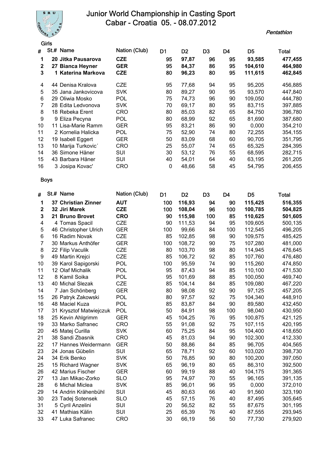

**Pentathlon** 

|              | Girls                |               |                |                |                |    |                |         |
|--------------|----------------------|---------------|----------------|----------------|----------------|----|----------------|---------|
| #            | St.# Name            | Nation (Club) | D <sub>1</sub> | D <sub>2</sub> | D <sub>3</sub> | D4 | D <sub>5</sub> | Total   |
| 1            | 20 Jitka Pausarova   | <b>CZE</b>    | 95             | 97,87          | 96             | 95 | 93,585         | 477,455 |
| $\mathbf{2}$ | 27 Bianca Heyner     | <b>GER</b>    | 95             | 84,37          | 86             | 95 | 104.610        | 464,980 |
| 3            | 1 Katerina Markova   | <b>CZE</b>    | 80             | 96,23          | 80             | 95 | 111,615        | 462,845 |
| 4            | Denisa Kralova<br>44 | <b>CZE</b>    | 95             | 77,68          | 94             | 95 | 95,205         | 456,885 |
| 5            | 35 Jana Jankovicova  | <b>SVK</b>    | 80             | 89,27          | 90             | 95 | 93,570         | 447,840 |
| 6            | 29 Oliwia Mosko      | <b>POL</b>    | 75             | 74,73          | 96             | 90 | 109,050        | 444,780 |
|              | 28 Edita Ledvonova   | <b>SVK</b>    | 70             | 69,17          | 80             | 95 | 83,715         | 397,885 |
| 8            | 18 Rebeka Erent      | CRO           | 80             | 85,03          | 82             | 65 | 84,750         | 396,780 |
| 9            | 9 Eliza Pecyna       | <b>POL</b>    | 80             | 68,99          | 92             | 65 | 81,690         | 387,680 |
| 10           | 11 Lisa-Marie Ramm   | <b>GER</b>    | 95             | 83,21          | 86             | 90 | 0,000          | 354,210 |
| 11           | 2 Kornelia Halicka   | <b>POL</b>    | 75             | 52,90          | 74             | 80 | 72,255         | 354,155 |
| 12           | 19 Isabell Eggert    | GER           | 50             | 83,09          | 68             | 60 | 90,705         | 351,795 |
| 13           | 10 Marija Turkovic'  | CRO           | 25             | 55,07          | 74             | 65 | 65,325         | 284,395 |
| 14           | 36 Simone Häner      | SUI           | 30             | 53,12          | 76             | 55 | 68,595         | 282,715 |
| 15           | 43 Barbara Häner     | SUI           | 40             | 54,01          | 64             | 40 | 63,195         | 261,205 |
| 16           | 3 Josipa Kovac'      | CRO           | 0              | 48,66          | 58             | 45 | 54,795         | 206,455 |

| Ħ           | St.# Name               | Nation (Club) | D <sub>1</sub> | D <sub>2</sub> | D <sub>3</sub> | D <sub>4</sub> | D <sub>5</sub> | Total   |
|-------------|-------------------------|---------------|----------------|----------------|----------------|----------------|----------------|---------|
| 1           | 37 Christian Zinner     | <b>AUT</b>    | 100            | 116,93         | 94             | 90             | 115,425        | 516,355 |
| $\mathbf 2$ | 32 Jiri Marek           | <b>CZE</b>    | 100            | 108,04         | 96             | 100            | 100,785        | 504,825 |
| 3           | 21 Bruno Brovet         | <b>CRO</b>    | 90             | 115,98         | 100            | 85             | 110,625        | 501,605 |
| 4           | 4 Tomas Spacil          | <b>CZE</b>    | 90             | 111,53         | 94             | 95             | 109,605        | 500,135 |
| 5           | 46 Christopher Ulrich   | <b>GER</b>    | 100            | 99,66          | 84             | 100            | 112,545        | 496,205 |
| 6           | 16 Radim Novak          | <b>CZE</b>    | 85             | 102,85         | 98             | 90             | 109,575        | 485,425 |
| 7           | 30 Markus Anthöfer      | <b>GER</b>    | 100            | 108,72         | 90             | 75             | 107,280        | 481,000 |
| 8           | 22 Filip Vaculik        | <b>CZE</b>    | 80             | 103,70         | 98             | 80             | 114,945        | 476,645 |
| 9           | 49 Martin Krejci        | <b>CZE</b>    | 85             | 106,72         | 92             | 85             | 107,760        | 476,480 |
| 10          | 39 Karol Sapigorski     | POL           | 100            | 95,59          | 74             | 90             | 115,260        | 474,850 |
| 11          | 12 Olaf Michalik        | POL           | 95             | 87,43          | 94             | 85             | 110,100        | 471,530 |
| 12          | 8 Kamil Soika           | POL           | 95             | 101,69         | 88             | 85             | 100,050        | 469,740 |
| 13          | 40 Michal Slezak        | <b>CZE</b>    | 85             | 104,14         | 84             | 85             | 109,080        | 467,220 |
| 14          | 7 Jan Schönberg         | <b>GER</b>    | 80             | 98,08          | 92             | 90             | 97,125         | 457,205 |
| 15          | 26 Patryk Zakowski      | <b>POL</b>    | 80             | 97,57          | 92             | 75             | 104,340        | 448,910 |
| 16          | 48 Maciel Kuza          | POL           | 85             | 83,87          | 84             | 90             | 89,580         | 432,450 |
| 17          | 31 Krysztof Matwiejczuk | <b>POL</b>    | 50             | 84,91          | 98             | 100            | 98,040         | 430,950 |
| 18          | 25 Kevin Ahlgrimm       | <b>GER</b>    | 45             | 104,25         | 76             | 95             | 100,875        | 421,125 |
| 19          | 33 Marko Safranec       | <b>CRO</b>    | 55             | 91,08          | 92             | 75             | 107,115        | 420,195 |
| 20          | 45 Matej Curilla        | <b>SVK</b>    | 60             | 75,25          | 84             | 95             | 104,400        | 418,650 |
| 21          | 38 Sandi Zbasnik        | <b>CRO</b>    | 45             | 81,03          | 94             | 90             | 102,300        | 412,330 |
| 22          | 17 Hannes Weidermann    | <b>GER</b>    | 50             | 88,86          | 84             | 85             | 96,705         | 404,565 |
| 23          | 24 Jonas Gübelin        | SUI           | 65             | 78,71          | 92             | 60             | 103,020        | 398,730 |
| 24          | 34 Erik Benko           | <b>SVK</b>    | 50             | 76,85          | 90             | 80             | 100,200        | 397,050 |
| 25          | 15 Richard Wagner       | <b>SVK</b>    | 65             | 96,19          | 80             | 65             | 86,310         | 392,500 |
| 26          | 42 Marius Fischer       | <b>GER</b>    | 60             | 99,19          | 88             | 40             | 104,175        | 391,365 |
| 27          | 13 Jan Mikac-Zorko      | <b>SLO</b>    | 95             | 74,97          | 70             | 55             | 96,165         | 391,135 |
| 28          | 6 Michal Miclea         | <b>SVK</b>    | 85             | 96,01          | 96             | 95             | 0,000          | 372,010 |
| 29          | 14 Andrin Krähenbühl    | SUI           | 45             | 80,63          | 66             | 40             | 91,560         | 323,190 |
| 30          | 23 Tadej Sotensek       | <b>SLO</b>    | 45             | 57,15          | 76             | 40             | 87,495         | 305,645 |
| 31          | 5 Cyril Anzelini        | SUI           | 20             | 56,52          | 82             | 55             | 87,675         | 301,195 |
| 32          | 41 Mathias Kälin        | SUI           | 25             | 65,39          | 76             | 40             | 87,555         | 293,945 |
| 33          | 47 Luka Safranec        | <b>CRO</b>    | 30             | 66,19          | 56             | 50             | 77,730         | 279,920 |